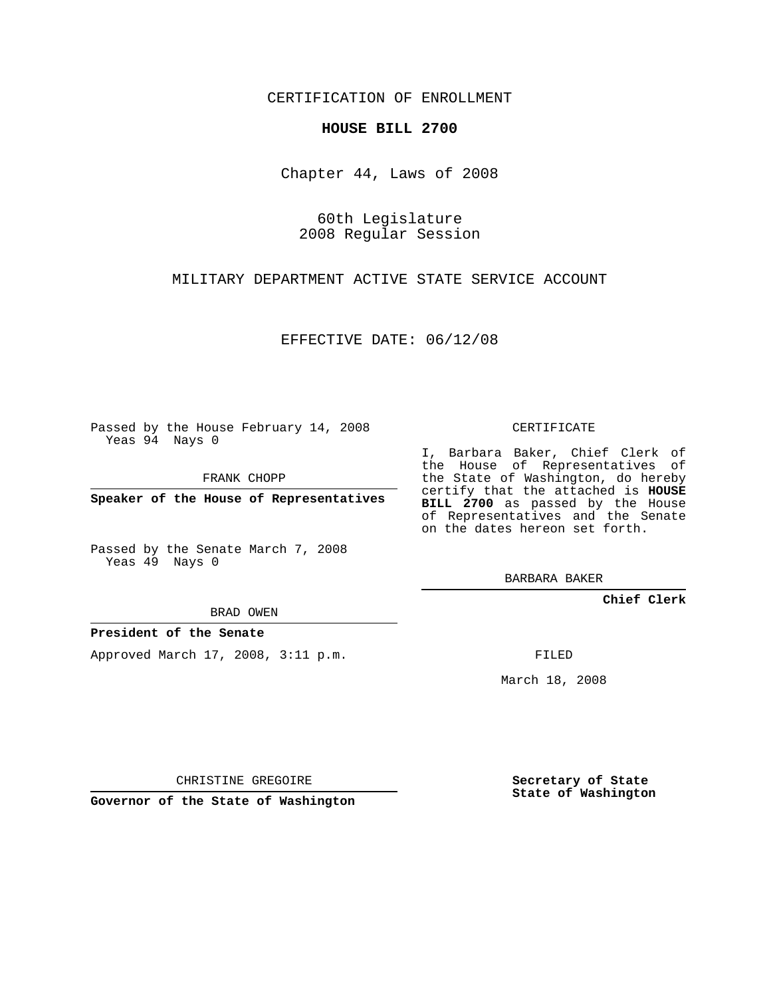CERTIFICATION OF ENROLLMENT

## **HOUSE BILL 2700**

Chapter 44, Laws of 2008

60th Legislature 2008 Regular Session

MILITARY DEPARTMENT ACTIVE STATE SERVICE ACCOUNT

EFFECTIVE DATE: 06/12/08

Passed by the House February 14, 2008 Yeas 94 Nays 0

FRANK CHOPP

**Speaker of the House of Representatives**

Passed by the Senate March 7, 2008 Yeas 49 Nays 0

BRAD OWEN

**President of the Senate**

Approved March 17, 2008, 3:11 p.m.

CERTIFICATE

I, Barbara Baker, Chief Clerk of the House of Representatives of the State of Washington, do hereby certify that the attached is **HOUSE BILL 2700** as passed by the House of Representatives and the Senate on the dates hereon set forth.

BARBARA BAKER

**Chief Clerk**

FILED

March 18, 2008

CHRISTINE GREGOIRE

**Governor of the State of Washington**

**Secretary of State State of Washington**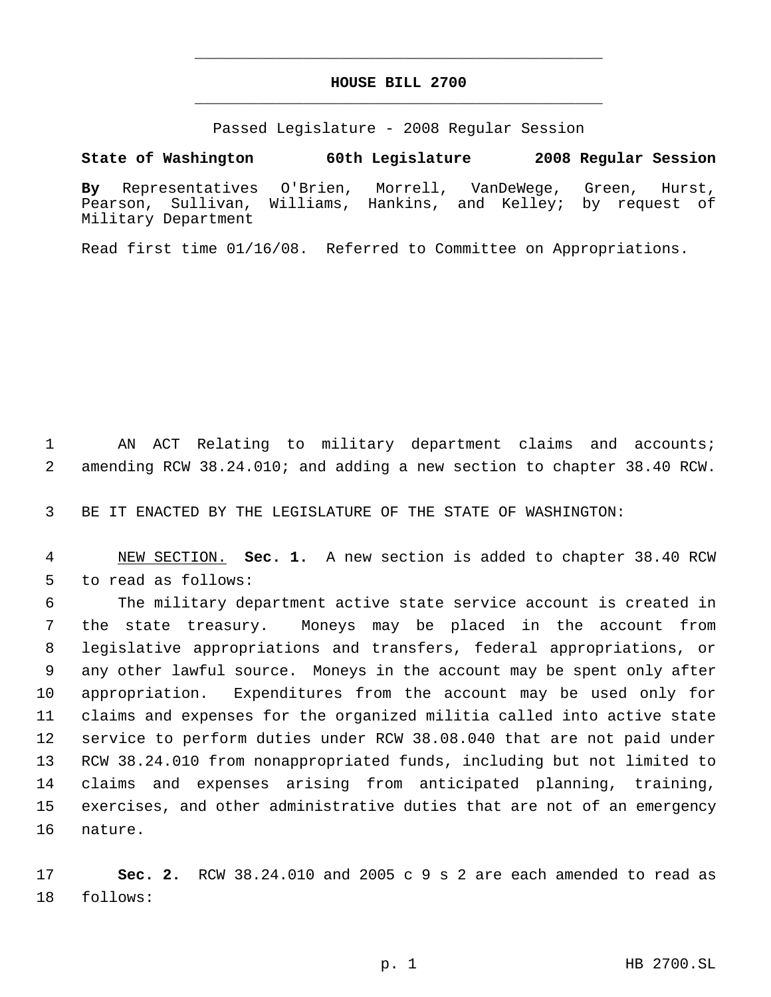## **HOUSE BILL 2700** \_\_\_\_\_\_\_\_\_\_\_\_\_\_\_\_\_\_\_\_\_\_\_\_\_\_\_\_\_\_\_\_\_\_\_\_\_\_\_\_\_\_\_\_\_

\_\_\_\_\_\_\_\_\_\_\_\_\_\_\_\_\_\_\_\_\_\_\_\_\_\_\_\_\_\_\_\_\_\_\_\_\_\_\_\_\_\_\_\_\_

Passed Legislature - 2008 Regular Session

**State of Washington 60th Legislature 2008 Regular Session**

**By** Representatives O'Brien, Morrell, VanDeWege, Green, Hurst, Pearson, Sullivan, Williams, Hankins, and Kelley; by request of Military Department

Read first time 01/16/08. Referred to Committee on Appropriations.

 AN ACT Relating to military department claims and accounts; amending RCW 38.24.010; and adding a new section to chapter 38.40 RCW.

BE IT ENACTED BY THE LEGISLATURE OF THE STATE OF WASHINGTON:

 NEW SECTION. **Sec. 1.** A new section is added to chapter 38.40 RCW to read as follows:

 The military department active state service account is created in the state treasury. Moneys may be placed in the account from legislative appropriations and transfers, federal appropriations, or any other lawful source. Moneys in the account may be spent only after appropriation. Expenditures from the account may be used only for claims and expenses for the organized militia called into active state service to perform duties under RCW 38.08.040 that are not paid under RCW 38.24.010 from nonappropriated funds, including but not limited to claims and expenses arising from anticipated planning, training, exercises, and other administrative duties that are not of an emergency nature.

 **Sec. 2.** RCW 38.24.010 and 2005 c 9 s 2 are each amended to read as follows: